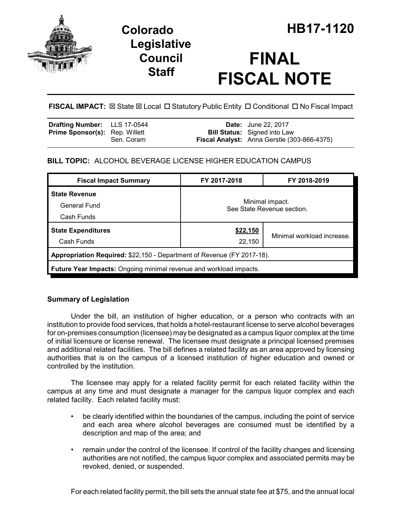

## **Legislative Council Staff**

# **FINAL FISCAL NOTE**

**FISCAL IMPACT:**  $\boxtimes$  **State**  $\boxtimes$  **Local □ Statutory Public Entity □ Conditional □ No Fiscal Impact** 

| <b>Drafting Number:</b> LLS 17-0544   |            | <b>Date:</b> June 22, 2017                                                         |
|---------------------------------------|------------|------------------------------------------------------------------------------------|
| <b>Prime Sponsor(s): Rep. Willett</b> | Sen. Coram | <b>Bill Status:</b> Signed into Law<br>Fiscal Analyst: Anna Gerstle (303-866-4375) |

## **BILL TOPIC:** ALCOHOL BEVERAGE LICENSE HIGHER EDUCATION CAMPUS

| <b>Fiscal Impact Summary</b>                                           | FY 2017-2018                                  | FY 2018-2019               |  |  |
|------------------------------------------------------------------------|-----------------------------------------------|----------------------------|--|--|
| <b>State Revenue</b>                                                   | Minimal impact.<br>See State Revenue section. |                            |  |  |
| General Fund                                                           |                                               |                            |  |  |
| Cash Funds                                                             |                                               |                            |  |  |
| <b>State Expenditures</b>                                              | \$22,150                                      |                            |  |  |
| Cash Funds                                                             | 22,150                                        | Minimal workload increase. |  |  |
| Appropriation Required: \$22,150 - Department of Revenue (FY 2017-18). |                                               |                            |  |  |
| Future Year Impacts: Ongoing minimal revenue and workload impacts.     |                                               |                            |  |  |

## **Summary of Legislation**

Under the bill, an institution of higher education, or a person who contracts with an institution to provide food services, that holds a hotel-restaurant license to serve alcohol beverages for on-premises consumption (licensee) may be designated as a campus liquor complex at the time of initial licensure or license renewal. The licensee must designate a principal licensed premises and additional related facilities. The bill defines a related facility as an area approved by licensing authorities that is on the campus of a licensed institution of higher education and owned or controlled by the institution.

The licensee may apply for a related facility permit for each related facility within the campus at any time and must designate a manager for the campus liquor complex and each related facility. Each related facility must:

- be clearly identified within the boundaries of the campus, including the point of service and each area where alcohol beverages are consumed must be identified by a description and map of the area; and
- remain under the control of the licensee. If control of the facility changes and licensing authorities are not notified, the campus liquor complex and associated permits may be revoked, denied, or suspended.

For each related facility permit, the bill sets the annual state fee at \$75, and the annual local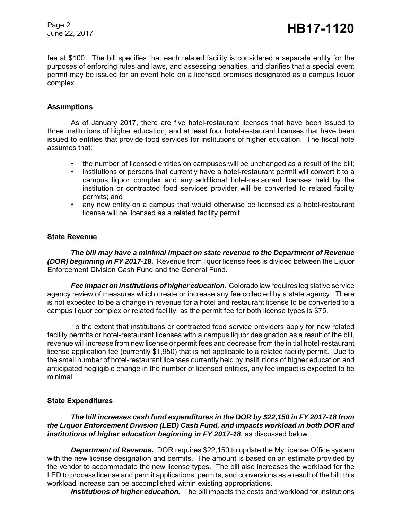Page 2

Page 2<br>June 22, 2017 **HB17-1120** 

fee at \$100. The bill specifies that each related facility is considered a separate entity for the purposes of enforcing rules and laws, and assessing penalties, and clarifies that a special event permit may be issued for an event held on a licensed premises designated as a campus liquor complex.

#### **Assumptions**

As of January 2017, there are five hotel-restaurant licenses that have been issued to three institutions of higher education, and at least four hotel-restaurant licenses that have been issued to entities that provide food services for institutions of higher education. The fiscal note assumes that:

- the number of licensed entities on campuses will be unchanged as a result of the bill;
- institutions or persons that currently have a hotel-restaurant permit will convert it to a campus liquor complex and any additional hotel-restaurant licenses held by the institution or contracted food services provider will be converted to related facility permits; and
- any new entity on a campus that would otherwise be licensed as a hotel-restaurant license will be licensed as a related facility permit.

#### **State Revenue**

*The bill may have a minimal impact on state revenue to the Department of Revenue (DOR) beginning in FY 2017-18.* Revenue from liquor license fees is divided between the Liquor Enforcement Division Cash Fund and the General Fund.

*Fee impact on institutions of higher education*. Colorado law requires legislative service agency review of measures which create or increase any fee collected by a state agency. There is not expected to be a change in revenue for a hotel and restaurant license to be converted to a campus liquor complex or related facility, as the permit fee for both license types is \$75.

To the extent that institutions or contracted food service providers apply for new related facility permits or hotel-restaurant licenses with a campus liquor designation as a result of the bill, revenue will increase from new license or permit fees and decrease from the initial hotel-restaurant license application fee (currently \$1,950) that is not applicable to a related facility permit. Due to the small number of hotel-restaurant licenses currently held by institutions of higher education and anticipated negligible change in the number of licensed entities, any fee impact is expected to be minimal.

#### **State Expenditures**

*The bill increases cash fund expenditures in the DOR by \$22,150 in FY 2017-18 from the Liquor Enforcement Division (LED) Cash Fund, and impacts workload in both DOR and institutions of higher education beginning in FY 2017-18*, as discussed below.

*Department of Revenue.* DOR requires \$22,150 to update the MyLicense Office system with the new license designation and permits. The amount is based on an estimate provided by the vendor to accommodate the new license types. The bill also increases the workload for the LED to process license and permit applications, permits, and conversions as a result of the bill; this workload increase can be accomplished within existing appropriations.

*Institutions of higher education.* The bill impacts the costs and workload for institutions